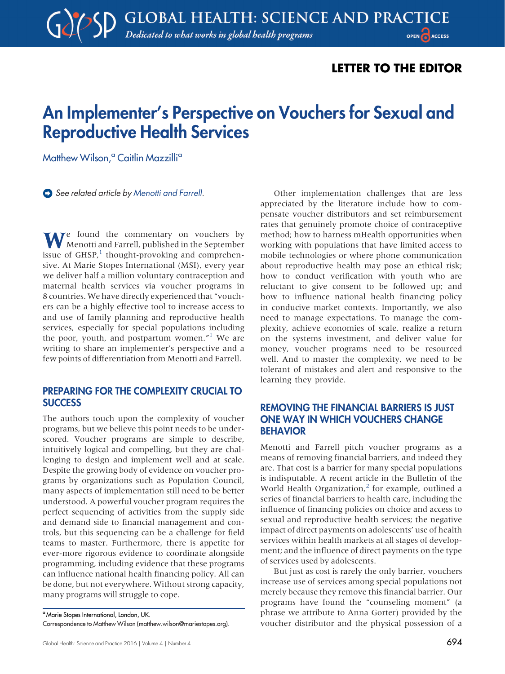## LETTER TO THE EDITOR

# An Implementer's Perspective on Vouchers for Sexual and Reproductive Health Services

Matthew Wilson,<sup>a</sup> Caitlin Mazzilli<sup>a</sup>

See related article by [Menotti and Farrell.](http://dx.doi.org/10.9745/GHSP-D-16-00084)

We found the commentary on vouchers by Menotti and Farrell, published in the September issue of  $GHSP<sup>1</sup>$  $GHSP<sup>1</sup>$  $GHSP<sup>1</sup>$ , thought-provoking and comprehensive. At Marie Stopes International (MSI), every year we deliver half a million voluntary contraception and maternal health services via voucher programs in 8 countries. We have directly experienced that "vouchers can be a highly effective tool to increase access to and use of family planning and reproductive health services, especially for special populations including the poor, youth, and postpartum women." [1](#page-1-0) We are writing to share an implementer's perspective and a few points of differentiation from Menotti and Farrell.

#### PREPARING FOR THE COMPLEXITY CRUCIAL TO **SUCCESS**

The authors touch upon the complexity of voucher programs, but we believe this point needs to be underscored. Voucher programs are simple to describe, intuitively logical and compelling, but they are challenging to design and implement well and at scale. Despite the growing body of evidence on voucher programs by organizations such as Population Council, many aspects of implementation still need to be better understood. A powerful voucher program requires the perfect sequencing of activities from the supply side and demand side to financial management and controls, but this sequencing can be a challenge for field teams to master. Furthermore, there is appetite for ever-more rigorous evidence to coordinate alongside programming, including evidence that these programs can influence national health financing policy. All can be done, but not everywhere. Without strong capacity, many programs will struggle to cope.

<sup>a</sup> Marie Stopes International, London, UK. Correspondence to Matthew Wilson ([matthew.wilson@mariestopes.org\)](mailto:matthew.wilson@mariestopes.org).

Global Health: Science and Practice 2016 | Volume 4 | Number 4  $\sim$  694  $\sim$  694  $\sim$  694

Other implementation challenges that are less appreciated by the literature include how to compensate voucher distributors and set reimbursement rates that genuinely promote choice of contraceptive method; how to harness mHealth opportunities when working with populations that have limited access to mobile technologies or where phone communication about reproductive health may pose an ethical risk; how to conduct verification with youth who are reluctant to give consent to be followed up; and how to influence national health financing policy in conducive market contexts. Importantly, we also need to manage expectations. To manage the complexity, achieve economies of scale, realize a return on the systems investment, and deliver value for money, voucher programs need to be resourced well. And to master the complexity, we need to be tolerant of mistakes and alert and responsive to the learning they provide.

#### REMOVING THE FINANCIAL BARRIERS IS JUST ONE WAY IN WHICH VOUCHERS CHANGE BEHAVIOR

Menotti and Farrell pitch voucher programs as a means of removing financial barriers, and indeed they are. That cost is a barrier for many special populations is indisputable. A recent article in the Bulletin of the World Health Organization, $<sup>2</sup>$  $<sup>2</sup>$  $<sup>2</sup>$  for example, outlined a</sup> series of financial barriers to health care, including the influence of financing policies on choice and access to sexual and reproductive health services; the negative impact of direct payments on adolescents' use of health services within health markets at all stages of development; and the influence of direct payments on the type of services used by adolescents.

But just as cost is rarely the only barrier, vouchers increase use of services among special populations not merely because they remove this financial barrier. Our programs have found the "counseling moment" (a phrase we attribute to Anna Gorter) provided by the voucher distributor and the physical possession of a